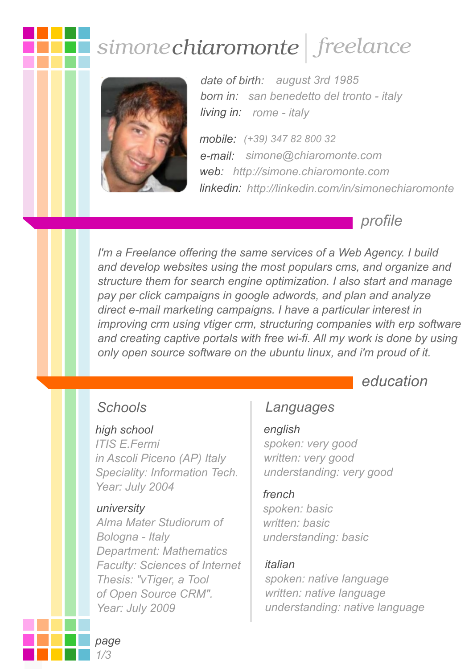# simone chiaromonte freelance



*date of birth: august 3rd 1985 born in: san benedetto del tronto - italy living in: rome - italy*

*e-mail: simone@chiaromonte.com mobile: (+39) 347 82 800 32 web: http://simone.chiaromonte.com linkedin: http://linkedin.com/in/simonechiaromonte*

*profile*

*I'm a Freelance offering the same services of a Web Agency. I build and develop websites using the most populars cms, and organize and structure them for search engine optimization. I also start and manage pay per click campaigns in google adwords, and plan and analyze direct e-mail marketing campaigns. I have a particular interest in improving crm using vtiger crm, structuring companies with erp software and creating captive portals with free wi-fi. All my work is done by using only open source software on the ubuntu linux, and i'm proud of it.*

*education*

#### *high school*

*ITIS E.Fermi in Ascoli Piceno (AP) Italy Speciality: Information Tech. Year: July 2004* 

#### *university*

*Alma Mater Studiorum of Bologna - Italy Department: Mathematics Faculty: Sciences of Internet Thesis: "vTiger, a Tool of Open Source CRM". Year: July 2009*

#### *Schools Languages*

#### *english*

*spoken: very good written: very good understanding: very good*

#### *french*

*spoken: basic written: basic understanding: basic*

#### *italian*

*spoken: native language written: native language understanding: native language*

*page 1/3*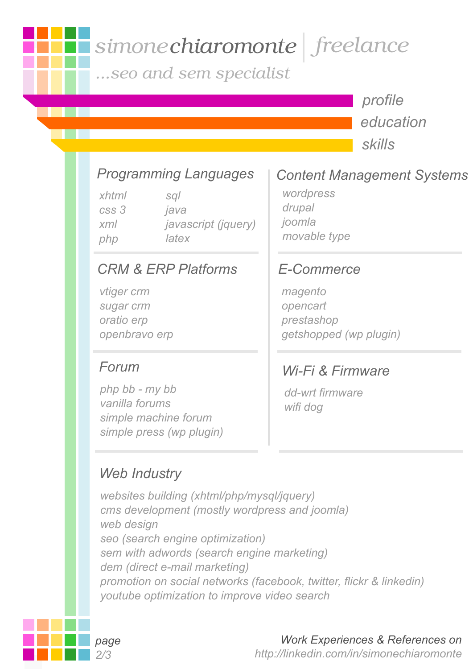# simone chiaromonte freelance

...seo and sem specialist

*profile education skills*

# *Programming Languages*

*xhtml css 3 xml php sql java javascript (jquery) latex*

#### *CRM & ERP Platforms*

*vtiger crm sugar crm oratio erp openbravo erp*

#### *Forum*

*php bb - my bb vanilla forums simple machine forum simple press (wp plugin)*

### *Web Industry*

*websites building (xhtml/php/mysql/jquery) cms development (mostly wordpress and joomla) web design seo (search engine optimization) sem with adwords (search engine marketing) dem (direct e-mail marketing) promotion on social networks (facebook, twitter, flickr & linkedin) youtube optimization to improve video search*

# *Content Management Systems*

*wordpress drupal joomla movable type*

### *E-Commerce*

*magento opencart prestashop getshopped (wp plugin)*

#### *Wi-Fi & Firmware*

*dd-wrt firmware wifi dog*



#### *Work Experiences & References on*

 *http://linkedin.com/in/simonechiaromonte*